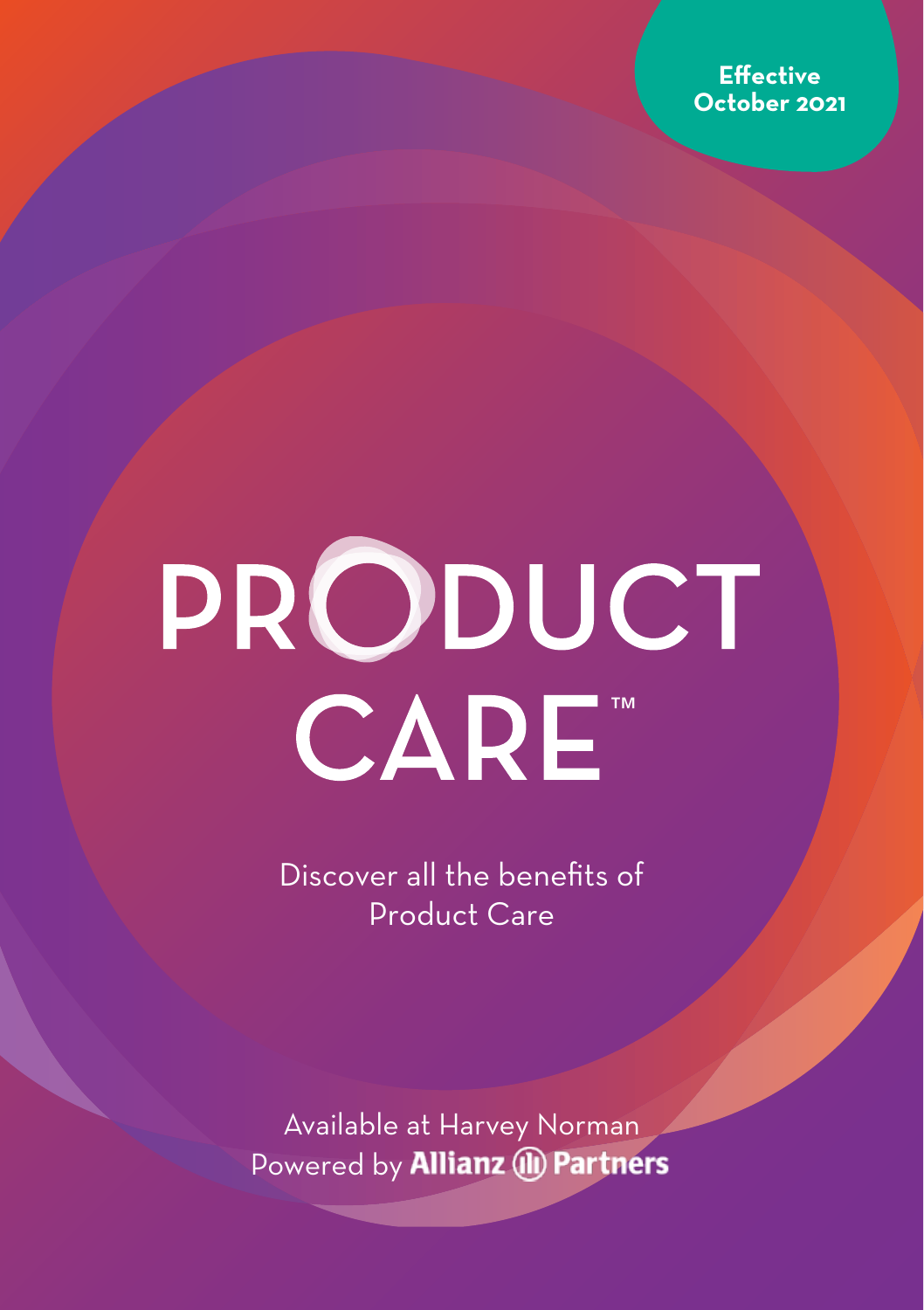

# PRODUCT CARE™

Discover all the benefits of Product Care

Available at Harvey Norman Powered by **Allianz (II) Partners**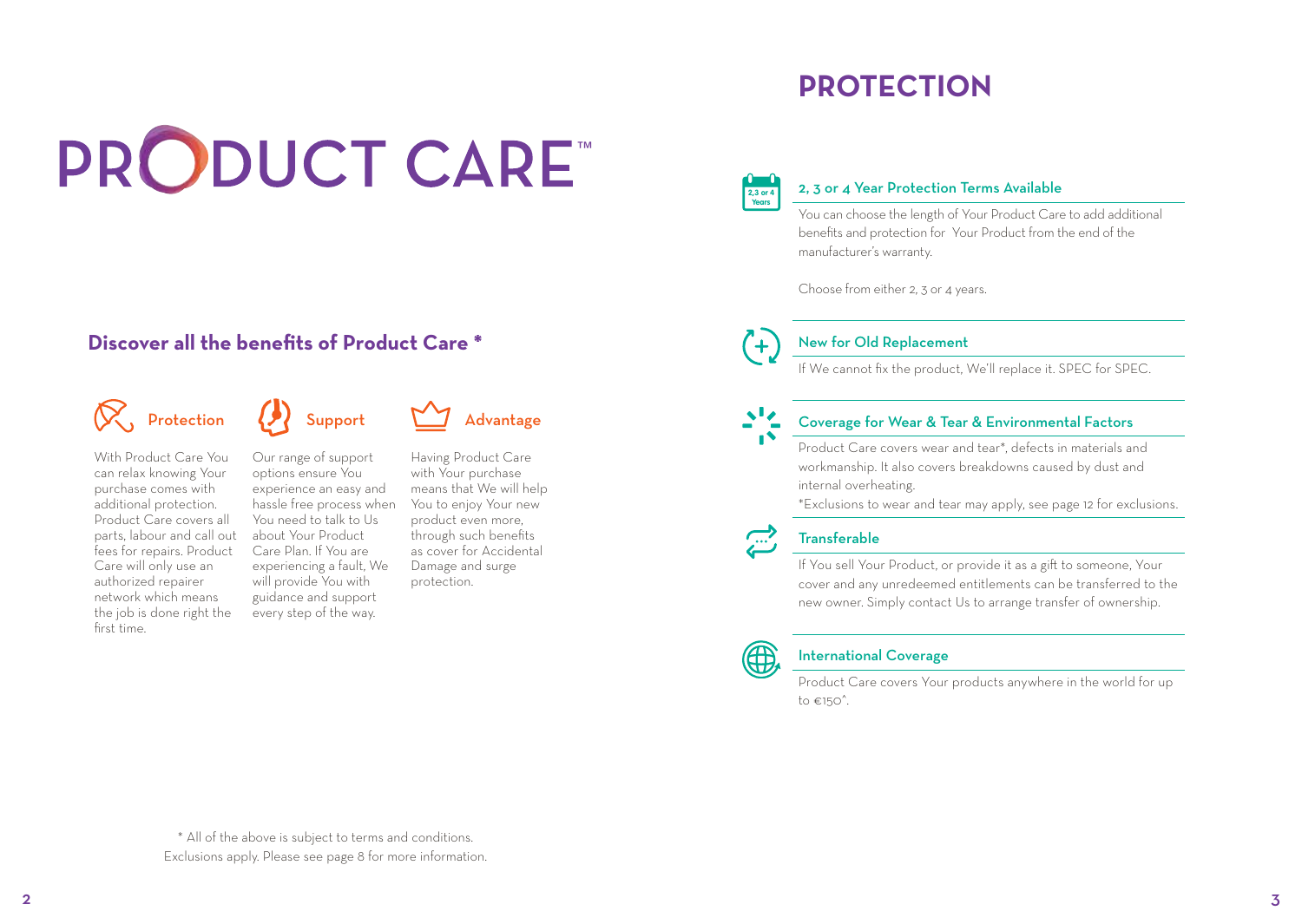## PRODUCT CARE™

#### **Discover all the benefits of Product Care \***

## $\left\langle \bigotimes \right\rangle$ , Protection  $\left\langle \bigotimes \right\rangle$  Support  $\sum_{n=1}^{\infty}$  Advantage

With Product Care You can relax knowing Your purchase comes with additional protection. Product Care covers all parts, labour and call out fees for repairs. Product Care will only use an authorized repairer network which means the job is done right the first time.

Our range of support options ensure You experience an easy and hassle free process when You need to talk to Us about Your Product Care Plan. If You are experiencing a fault, We will provide You with guidance and support every step of the way.



Having Product Care with Your purchase means that We will help You to enjoy Your new product even more, through such benefits as cover for Accidental Damage and surge protection.

## **PROTECTION**



#### 2, 3 or 4 Year Protection Terms Available

You can choose the length of Your Product Care to add additional benefits and protection for Your Product from the end of the manufacturer's warranty.

Choose from either 2, 3 or 4 years.



#### New for Old Replacement

If We cannot fix the product, We'll replace it. SPEC for SPEC.

#### Coverage for Wear & Tear & Environmental Factors

Product Care covers wear and tear\*, defects in materials and workmanship. It also covers breakdowns caused by dust and internal overheating.

\*Exclusions to wear and tear may apply, see page 12 for exclusions.



#### **Transferable**

If You sell Your Product, or provide it as a gift to someone, Your cover and any unredeemed entitlements can be transferred to the new owner. Simply contact Us to arrange transfer of ownership.



#### International Coverage

Product Care covers Your products anywhere in the world for up to  $\epsilon$ 150<sup>^</sup>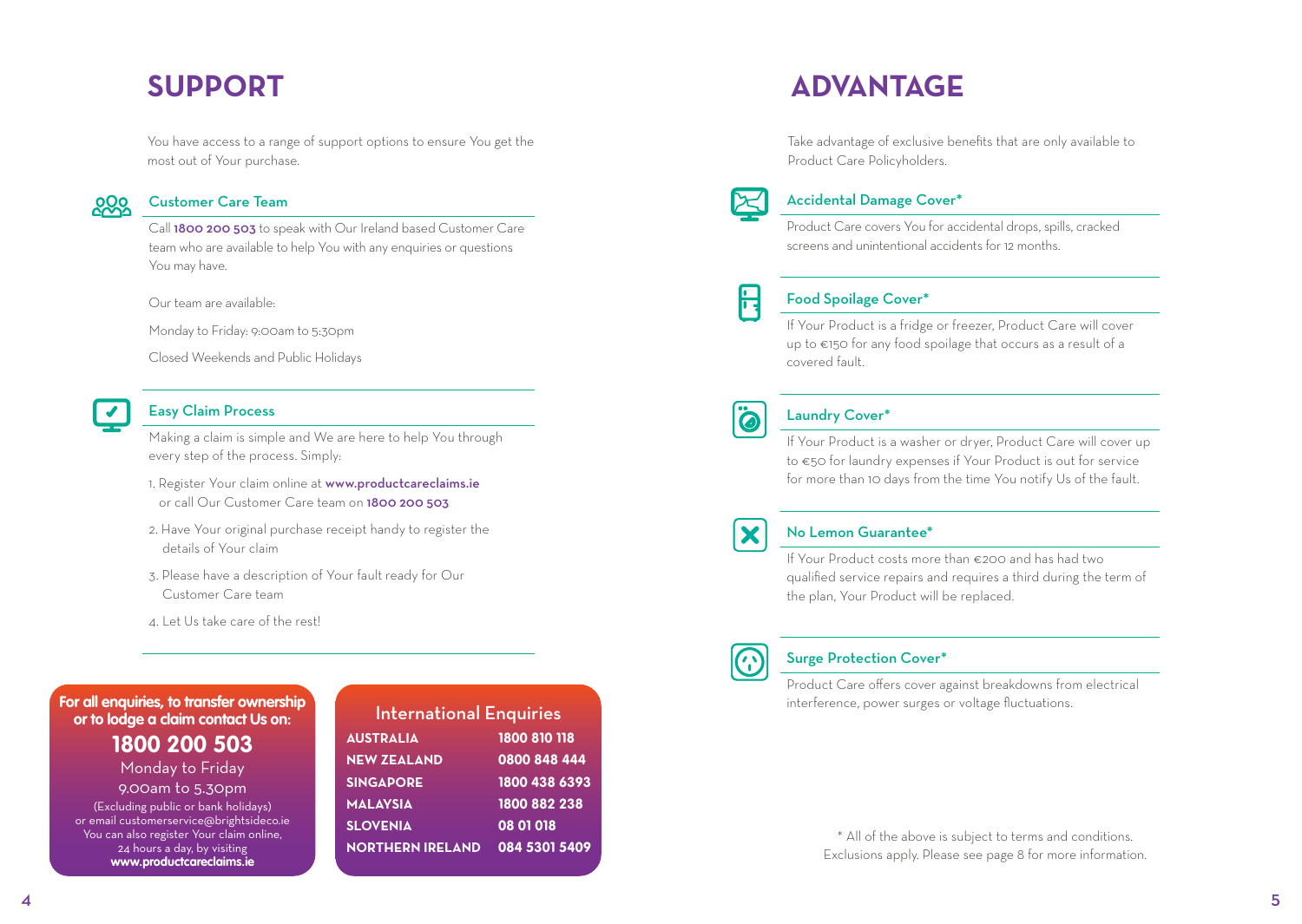## **SUPPORT**

You have access to a range of support options to ensure You get the most out of Your purchase.



#### Customer Care Team

Call 1800 200 503 to speak with Our Ireland based Customer Care team who are available to help You with any enquiries or questions You may have.

Our team are available:

Monday to Friday: 9:00am to 5:30pm

Closed Weekends and Public Holidays



#### Easy Claim Process

Making a claim is simple and We are here to help You through every step of the process. Simply:

- 1. Register Your claim online at www.productcareclaims.ie or call Our Customer Care team on 1800 200 503
- 2. Have Your original purchase receipt handy to register the details of Your claim
- 3. Please have a description of Your fault ready for Our Customer Care team
- 4. Let Us take care of the rest!

#### **For all enquiries, to transfer ownership or to lodge a claim contact Us on:**

**1800 200 503** Monday to Friday

9.00am to 5.30pm (Excluding public or bank holidays) or email customerservice@brightsideco.ie You can also register Your claim online, 24 hours a day, by visiting **www.productcareclaims.ie**

| <b>International Enquiries</b> |               |  |
|--------------------------------|---------------|--|
| <b>AUSTRALIA</b>               | 1800 810 118  |  |
| <b>NEW ZEALAND</b>             | 0800 848 444  |  |
| <b>SINGAPORE</b>               | 1800 438 6393 |  |
| <b>MALAYSIA</b>                | 1800 882 238  |  |
| <b>SLOVENIA</b>                | 08 01 018     |  |
| <b>NORTHERN IRELAND</b>        | 084 5301 5409 |  |
|                                |               |  |

### **ADVANTAGE**

Take advantage of exclusive benefits that are only available to Product Care Policyholders.



#### Accidental Damage Cover\*

Product Care covers You for accidental drops, spills, cracked screens and unintentional accidents for 12 months.



#### Food Spoilage Cover\*

If Your Product is a fridge or freezer, Product Care will cover up to €150 for any food spoilage that occurs as a result of a covered fault.



#### Laundry Cover\*

If Your Product is a washer or dryer, Product Care will cover up to €50 for laundry expenses if Your Product is out for service for more than 10 days from the time You notify Us of the fault.



#### No Lemon Guarantee\*

If Your Product costs more than €200 and has had two qualified service repairs and requires a third during the term of the plan, Your Product will be replaced.



#### Surge Protection Cover\*

Product Care offers cover against breakdowns from electrical interference, power surges or voltage fluctuations.

> \* All of the above is subject to terms and conditions. Exclusions apply. Please see page 8 for more information.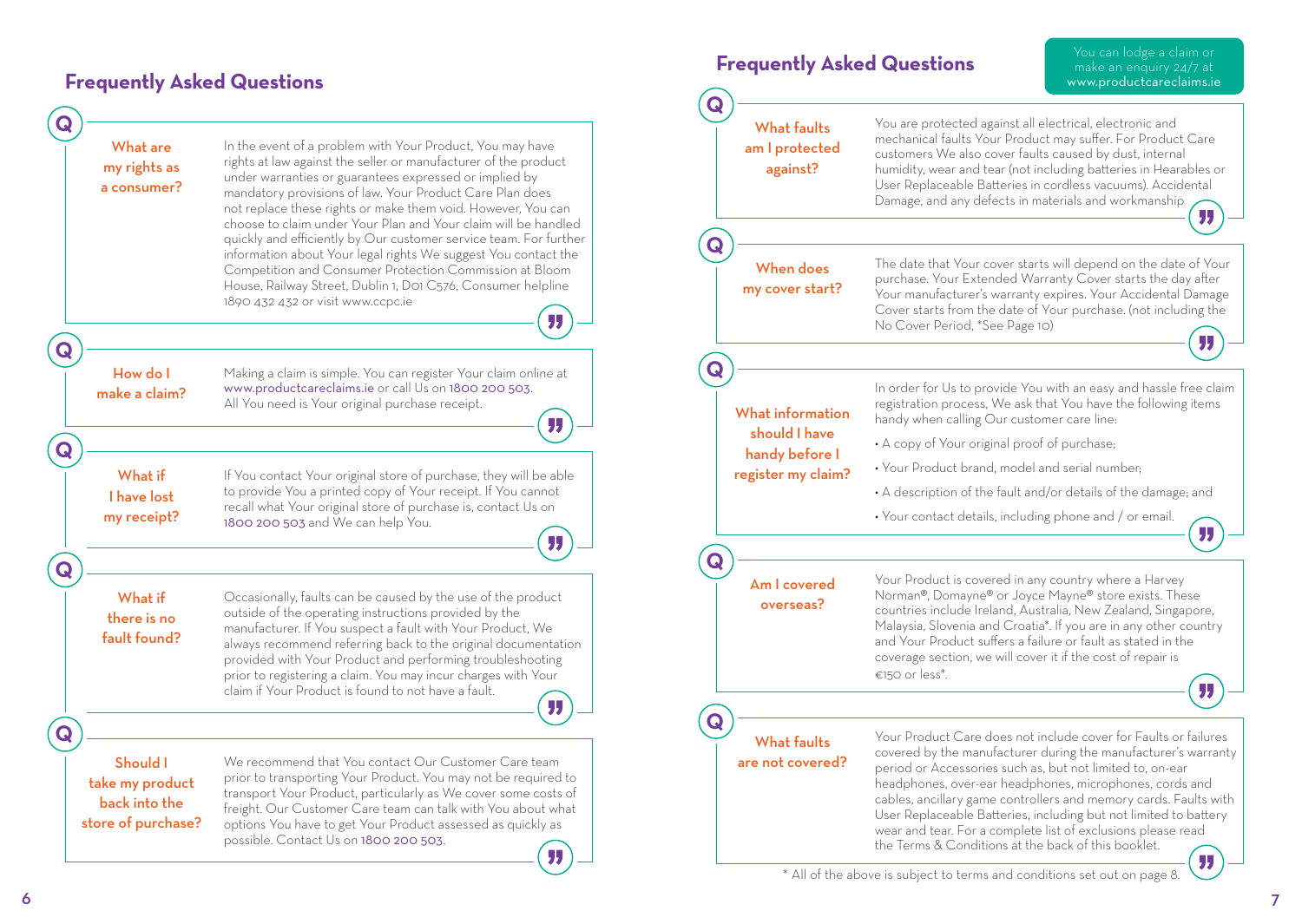#### **Frequently Asked Questions**



| <b>Frequently Asked Questions</b>                                         |                                                                                                                                                                                                                                                                                                                                                                               | You can lodge a claim or<br>make an enquiry 24/7 at<br>www.productcareclaims.ie                                                                                                                                                                                                |
|---------------------------------------------------------------------------|-------------------------------------------------------------------------------------------------------------------------------------------------------------------------------------------------------------------------------------------------------------------------------------------------------------------------------------------------------------------------------|--------------------------------------------------------------------------------------------------------------------------------------------------------------------------------------------------------------------------------------------------------------------------------|
| <b>What faults</b><br>am I protected<br>against?                          | You are protected against all electrical, electronic and<br>mechanical faults Your Product may suffer. For Product Care<br>customers We also cover faults caused by dust, internal<br>humidity, wear and tear (not including batteries in Hearables or<br>User Replaceable Batteries in cordless vacuums). Accidental<br>Damage, and any defects in materials and workmanship |                                                                                                                                                                                                                                                                                |
|                                                                           |                                                                                                                                                                                                                                                                                                                                                                               |                                                                                                                                                                                                                                                                                |
| When does<br>my cover start?                                              | The date that Your cover starts will depend on the date of Your<br>purchase. Your Extended Warranty Cover starts the day after<br>Your manufacturer's warranty expires. Your Accidental Damage<br>Cover starts from the date of Your purchase. (not including the<br>No Cover Period, *See Page 10)                                                                           |                                                                                                                                                                                                                                                                                |
|                                                                           |                                                                                                                                                                                                                                                                                                                                                                               |                                                                                                                                                                                                                                                                                |
| What information<br>should I have<br>handy before I<br>register my claim? | handy when calling Our customer care line:                                                                                                                                                                                                                                                                                                                                    | In order for Us to provide You with an easy and hassle free claim<br>registration process, We ask that You have the following items                                                                                                                                            |
|                                                                           | • A copy of Your original proof of purchase;                                                                                                                                                                                                                                                                                                                                  |                                                                                                                                                                                                                                                                                |
|                                                                           | • Your Product brand, model and serial number:                                                                                                                                                                                                                                                                                                                                |                                                                                                                                                                                                                                                                                |
|                                                                           | • A description of the fault and/or details of the damage; and                                                                                                                                                                                                                                                                                                                |                                                                                                                                                                                                                                                                                |
|                                                                           | · Your contact details, including phone and / or email.                                                                                                                                                                                                                                                                                                                       |                                                                                                                                                                                                                                                                                |
|                                                                           |                                                                                                                                                                                                                                                                                                                                                                               | ٠J.                                                                                                                                                                                                                                                                            |
| Am I covered<br>overseas?                                                 | Your Product is covered in any country where a Harvey<br>Norman®, Domayne® or Joyce Mayne® store exists. These<br>and Your Product suffers a failure or fault as stated in the<br>coverage section, we will cover it if the cost of repair is<br>€150 or less*.                                                                                                               | countries include Ireland, Australia, New Zealand, Singapore,<br>Malaysia, Slovenia and Croatia*. If you are in any other country                                                                                                                                              |
|                                                                           |                                                                                                                                                                                                                                                                                                                                                                               |                                                                                                                                                                                                                                                                                |
| <b>What faults</b><br>are not covered?                                    | period or Accessories such as, but not limited to, on-ear<br>headphones, over-ear headphones, microphones, cords and<br>wear and tear. For a complete list of exclusions please read<br>the Terms & Conditions at the back of this booklet.                                                                                                                                   | Your Product Care does not include cover for Faults or failures<br>covered by the manufacturer during the manufacturer's warranty<br>cables, ancillary game controllers and memory cards. Faults with<br>User Replaceable Batteries, including but not limited to battery<br>" |
|                                                                           | aboug is subject to terms and conditions set of                                                                                                                                                                                                                                                                                                                               |                                                                                                                                                                                                                                                                                |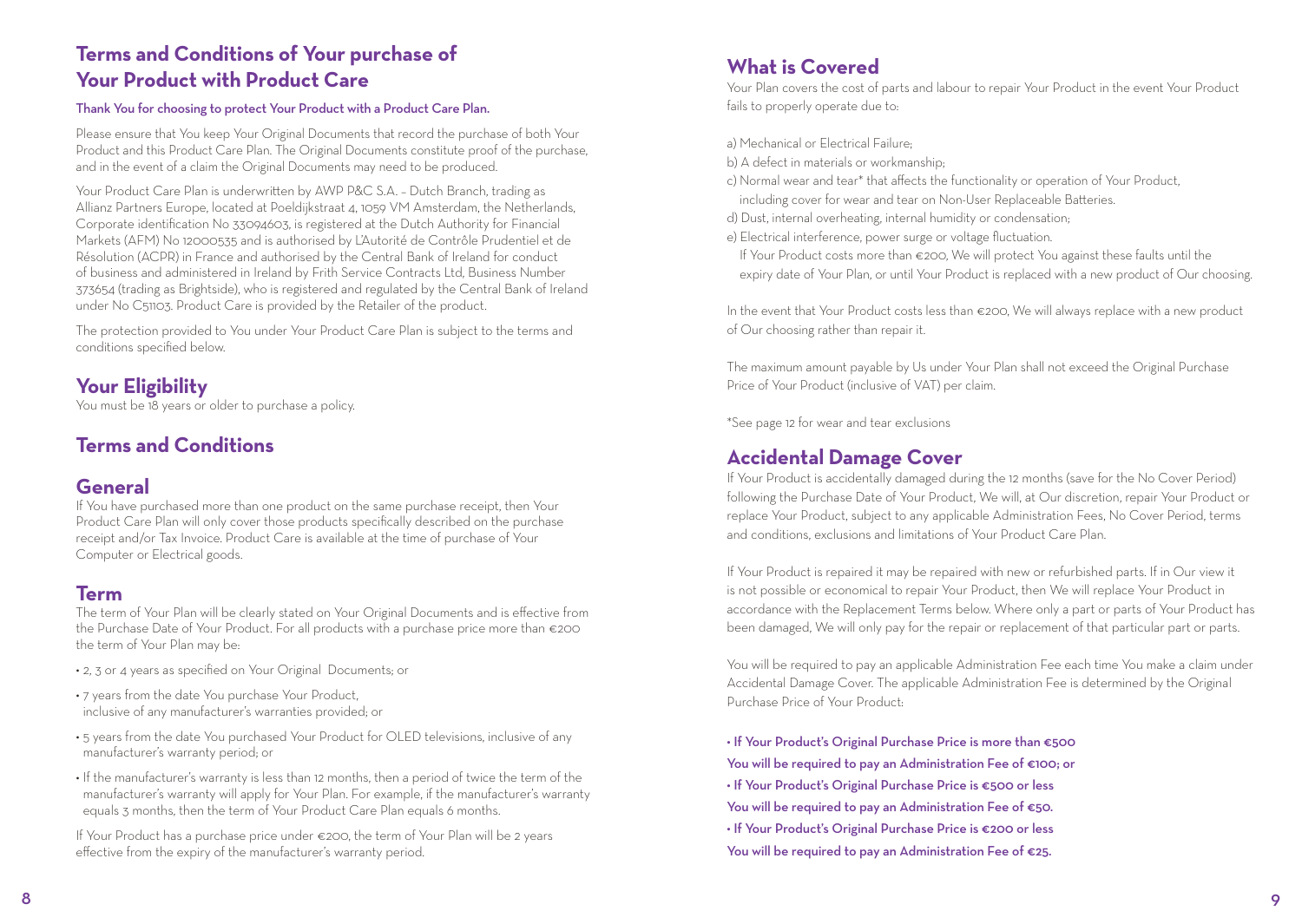#### **Terms and Conditions of Your purchase of Your Product with Product Care**

#### Thank You for choosing to protect Your Product with a Product Care Plan.

Please ensure that You keep Your Original Documents that record the purchase of both Your Product and this Product Care Plan. The Original Documents constitute proof of the purchase, and in the event of a claim the Original Documents may need to be produced.

Your Product Care Plan is underwritten by AWP P&C S.A. – Dutch Branch, trading as Allianz Partners Europe, located at Poeldijkstraat 4, 1059 VM Amsterdam, the Netherlands, Corporate identification No 33094603, is registered at the Dutch Authority for Financial Markets (AFM) No 12000535 and is authorised by L'Autorité de Contrôle Prudentiel et de Résolution (ACPR) in France and authorised by the Central Bank of Ireland for conduct of business and administered in Ireland by Frith Service Contracts Ltd, Business Number 373654 (trading as Brightside), who is registered and regulated by the Central Bank of Ireland under No C51103. Product Care is provided by the Retailer of the product.

The protection provided to You under Your Product Care Plan is subject to the terms and conditions specified below.

#### **Your Eligibility**

You must be 18 years or older to purchase a policy.

#### **Terms and Conditions**

#### **General**

If You have purchased more than one product on the same purchase receipt, then Your Product Care Plan will only cover those products specifically described on the purchase receipt and/or Tax Invoice. Product Care is available at the time of purchase of Your Computer or Electrical goods.

#### **Term**

The term of Your Plan will be clearly stated on Your Original Documents and is effective from the Purchase Date of Your Product. For all products with a purchase price more than €200 the term of Your Plan may be:

- 2, 3 or 4 years as specified on Your Original Documents; or
- 7 years from the date You purchase Your Product, inclusive of any manufacturer's warranties provided; or
- 5 years from the date You purchased Your Product for OLED televisions, inclusive of any manufacturer's warranty period; or
- If the manufacturer's warranty is less than 12 months, then a period of twice the term of the manufacturer's warranty will apply for Your Plan. For example, if the manufacturer's warranty equals 3 months, then the term of Your Product Care Plan equals 6 months.

If Your Product has a purchase price under €200, the term of Your Plan will be 2 years effective from the expiry of the manufacturer's warranty period.

#### **What is Covered**

Your Plan covers the cost of parts and labour to repair Your Product in the event Your Product fails to properly operate due to:

a) Mechanical or Electrical Failure;

- b) A defect in materials or workmanship;
- c) Normal wear and tear\* that affects the functionality or operation of Your Product, including cover for wear and tear on Non-User Replaceable Batteries.
- d) Dust, internal overheating, internal humidity or condensation;
- e) Electrical interference, power surge or voltage fluctuation.
- If Your Product costs more than €200, We will protect You against these faults until the expiry date of Your Plan, or until Your Product is replaced with a new product of Our choosing.

In the event that Your Product costs less than €200, We will always replace with a new product of Our choosing rather than repair it.

The maximum amount payable by Us under Your Plan shall not exceed the Original Purchase Price of Your Product (inclusive of VAT) per claim.

\*See page 12 for wear and tear exclusions

#### **Accidental Damage Cover**

If Your Product is accidentally damaged during the 12 months (save for the No Cover Period) following the Purchase Date of Your Product, We will, at Our discretion, repair Your Product or replace Your Product, subject to any applicable Administration Fees, No Cover Period, terms and conditions, exclusions and limitations of Your Product Care Plan.

If Your Product is repaired it may be repaired with new or refurbished parts. If in Our view it is not possible or economical to repair Your Product, then We will replace Your Product in accordance with the Replacement Terms below. Where only a part or parts of Your Product has been damaged, We will only pay for the repair or replacement of that particular part or parts.

You will be required to pay an applicable Administration Fee each time You make a claim under Accidental Damage Cover. The applicable Administration Fee is determined by the Original Purchase Price of Your Product:

• If Your Product's Original Purchase Price is more than €500 You will be required to pay an Administration Fee of €100; or • If Your Product's Original Purchase Price is €500 or less You will be required to pay an Administration Fee of €50. • If Your Product's Original Purchase Price is €200 or less You will be required to pay an Administration Fee of €25.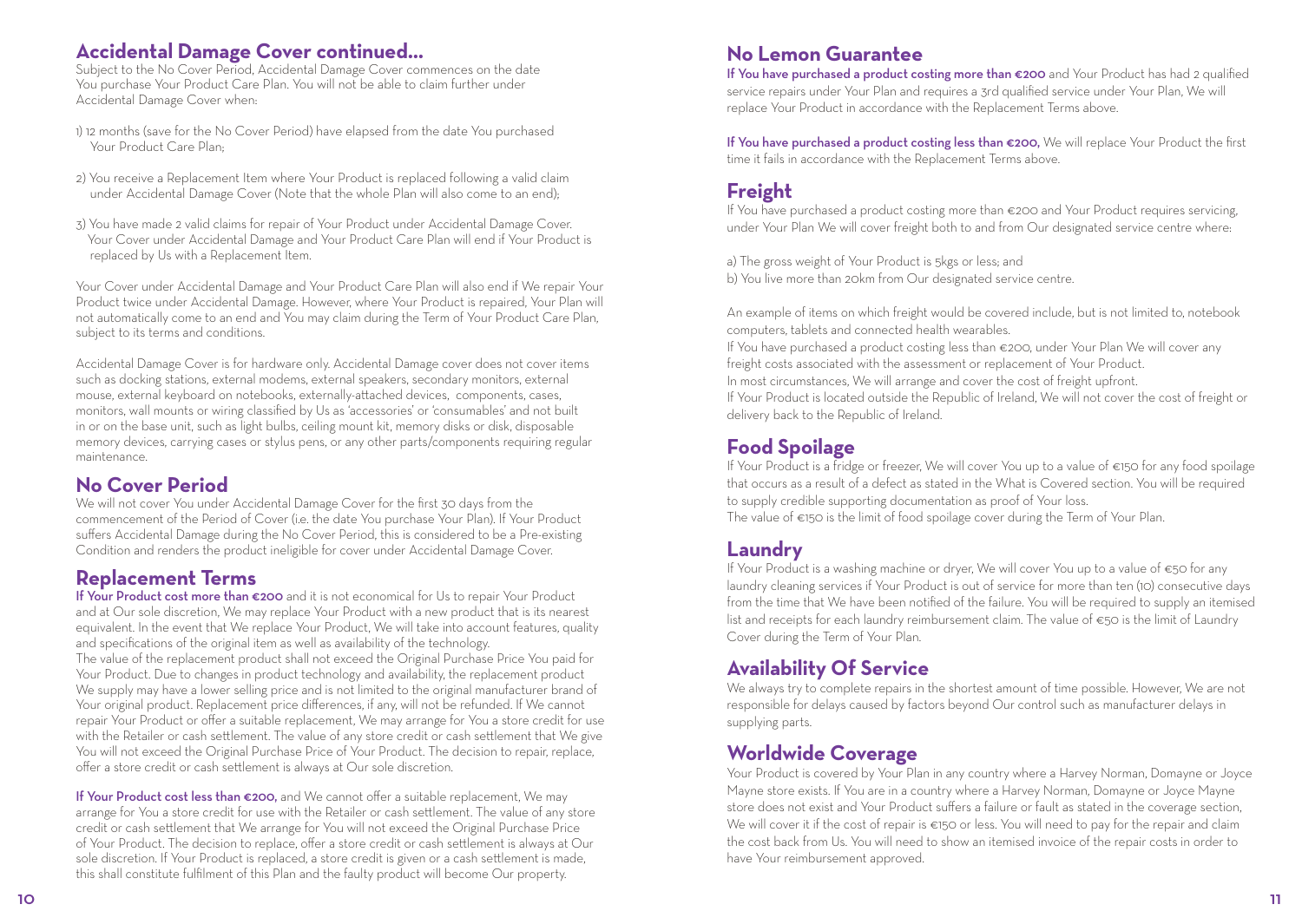#### **Accidental Damage Cover continued...**

Subject to the No Cover Period, Accidental Damage Cover commences on the date You purchase Your Product Care Plan. You will not be able to claim further under Accidental Damage Cover when:

- 1) 12 months (save for the No Cover Period) have elapsed from the date You purchased Your Product Care Plan;
- 2) You receive a Replacement Item where Your Product is replaced following a valid claim under Accidental Damage Cover (Note that the whole Plan will also come to an end);
- 3) You have made 2 valid claims for repair of Your Product under Accidental Damage Cover. Your Cover under Accidental Damage and Your Product Care Plan will end if Your Product is replaced by Us with a Replacement Item.

Your Cover under Accidental Damage and Your Product Care Plan will also end if We repair Your Product twice under Accidental Damage. However, where Your Product is repaired, Your Plan will not automatically come to an end and You may claim during the Term of Your Product Care Plan, subject to its terms and conditions.

Accidental Damage Cover is for hardware only. Accidental Damage cover does not cover items such as docking stations, external modems, external speakers, secondary monitors, external mouse, external keyboard on notebooks, externally-attached devices, components, cases, monitors, wall mounts or wiring classified by Us as 'accessories' or 'consumables' and not built in or on the base unit, such as light bulbs, ceiling mount kit, memory disks or disk, disposable memory devices, carrying cases or stylus pens, or any other parts/components requiring regular maintenance.

#### **No Cover Period**

We will not cover You under Accidental Damage Cover for the first 30 days from the commencement of the Period of Cover (i.e. the date You purchase Your Plan). If Your Product suffers Accidental Damage during the No Cover Period, this is considered to be a Pre-existing Condition and renders the product ineligible for cover under Accidental Damage Cover.

#### **Replacement Terms**

If Your Product cost more than €200 and it is not economical for Us to repair Your Product and at Our sole discretion, We may replace Your Product with a new product that is its nearest equivalent. In the event that We replace Your Product, We will take into account features, quality and specifications of the original item as well as availability of the technology. The value of the replacement product shall not exceed the Original Purchase Price You paid for Your Product. Due to changes in product technology and availability, the replacement product We supply may have a lower selling price and is not limited to the original manufacturer brand of Your original product. Replacement price differences, if any, will not be refunded. If We cannot repair Your Product or offer a suitable replacement, We may arrange for You a store credit for use with the Retailer or cash settlement. The value of any store credit or cash settlement that We give You will not exceed the Original Purchase Price of Your Product. The decision to repair, replace, offer a store credit or cash settlement is always at Our sole discretion.

If Your Product cost less than €200, and We cannot offer a suitable replacement, We may arrange for You a store credit for use with the Retailer or cash settlement. The value of any store credit or cash settlement that We arrange for You will not exceed the Original Purchase Price of Your Product. The decision to replace, offer a store credit or cash settlement is always at Our sole discretion. If Your Product is replaced, a store credit is given or a cash settlement is made, this shall constitute fulfilment of this Plan and the faulty product will become Our property.

#### **No Lemon Guarantee**

If You have purchased a product costing more than €200 and Your Product has had 2 qualified service repairs under Your Plan and requires a 3rd qualified service under Your Plan, We will replace Your Product in accordance with the Replacement Terms above.

If You have purchased a product costing less than €200, We will replace Your Product the first time it fails in accordance with the Replacement Terms above.

#### **Freight**

If You have purchased a product costing more than €200 and Your Product requires servicing, under Your Plan We will cover freight both to and from Our designated service centre where:

a) The gross weight of Your Product is 5kgs or less; and b) You live more than 20km from Our designated service centre.

An example of items on which freight would be covered include, but is not limited to, notebook computers, tablets and connected health wearables.

If You have purchased a product costing less than €200, under Your Plan We will cover any freight costs associated with the assessment or replacement of Your Product.

In most circumstances, We will arrange and cover the cost of freight upfront.

If Your Product is located outside the Republic of Ireland, We will not cover the cost of freight or delivery back to the Republic of Ireland.

#### **Food Spoilage**

If Your Product is a fridge or freezer, We will cover You up to a value of €150 for any food spoilage that occurs as a result of a defect as stated in the What is Covered section. You will be required to supply credible supporting documentation as proof of Your loss.

The value of €150 is the limit of food spoilage cover during the Term of Your Plan.

#### **Laundry**

If Your Product is a washing machine or dryer, We will cover You up to a value of €50 for any laundry cleaning services if Your Product is out of service for more than ten (10) consecutive days from the time that We have been notified of the failure. You will be required to supply an itemised list and receipts for each laundry reimbursement claim. The value of €50 is the limit of Laundry Cover during the Term of Your Plan.

#### **Availability Of Service**

We always try to complete repairs in the shortest amount of time possible. However, We are not responsible for delays caused by factors beyond Our control such as manufacturer delays in supplying parts.

#### **Worldwide Coverage**

Your Product is covered by Your Plan in any country where a Harvey Norman, Domayne or Joyce Mayne store exists. If You are in a country where a Harvey Norman, Domayne or Joyce Mayne store does not exist and Your Product suffers a failure or fault as stated in the coverage section, We will cover it if the cost of repair is €150 or less. You will need to pay for the repair and claim the cost back from Us. You will need to show an itemised invoice of the repair costs in order to have Your reimbursement approved.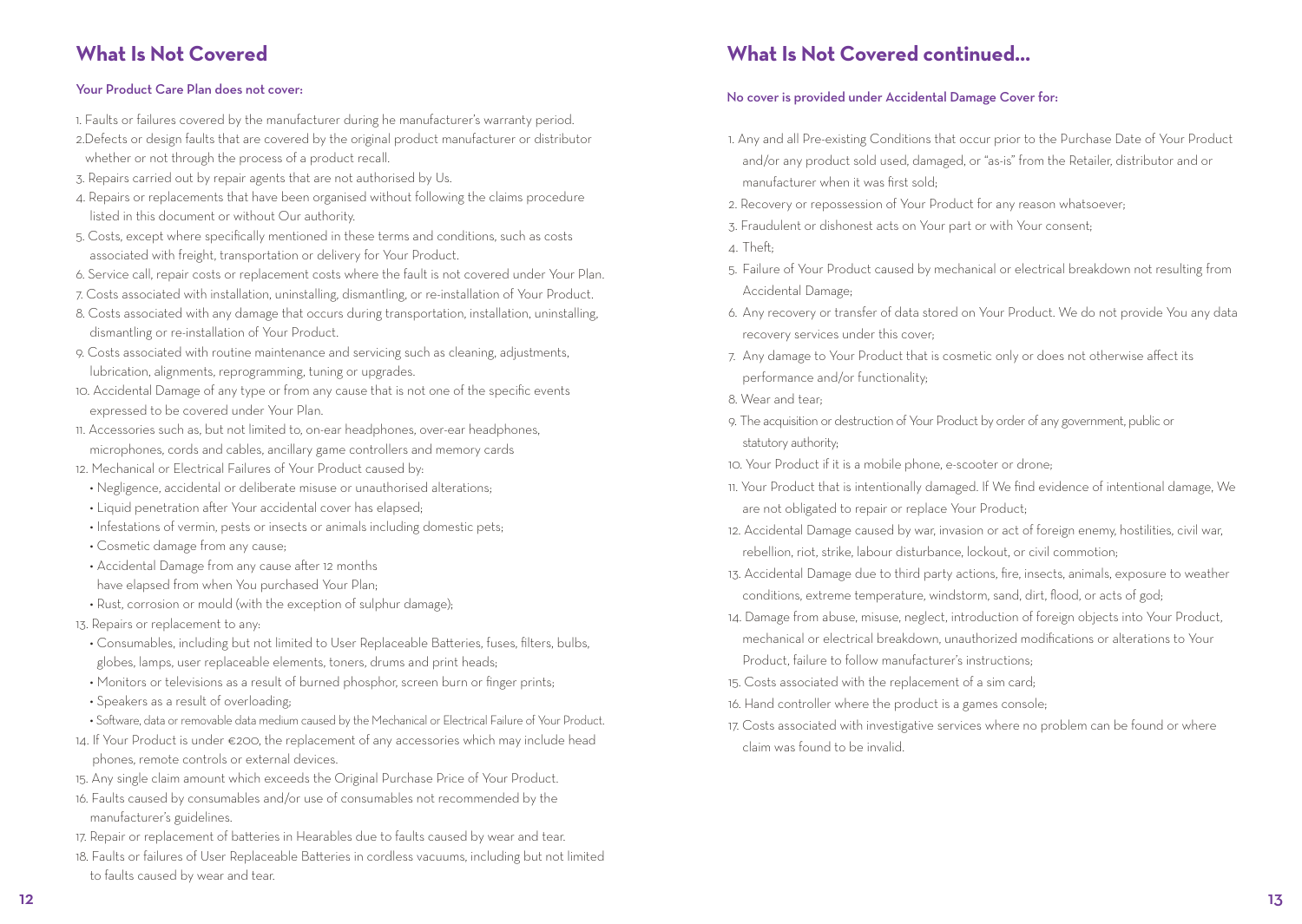#### **What Is Not Covered**

#### Your Product Care Plan does not cover:

- 1. Faults or failures covered by the manufacturer during he manufacturer's warranty period. 2.Defects or design faults that are covered by the original product manufacturer or distributor whether or not through the process of a product recall.
- 3. Repairs carried out by repair agents that are not authorised by Us.
- 4. Repairs or replacements that have been organised without following the claims procedure listed in this document or without Our authority.
- 5. Costs, except where specifically mentioned in these terms and conditions, such as costs associated with freight, transportation or delivery for Your Product.
- 6. Service call, repair costs or replacement costs where the fault is not covered under Your Plan.
- 7. Costs associated with installation, uninstalling, dismantling, or re-installation of Your Product.
- 8. Costs associated with any damage that occurs during transportation, installation, uninstalling, dismantling or re-installation of Your Product.
- 9. Costs associated with routine maintenance and servicing such as cleaning, adjustments, lubrication, alignments, reprogramming, tuning or upgrades.
- 10. Accidental Damage of any type or from any cause that is not one of the specific events expressed to be covered under Your Plan.
- 11. Accessories such as, but not limited to, on-ear headphones, over-ear headphones, microphones, cords and cables, ancillary game controllers and memory cards
- 12. Mechanical or Electrical Failures of Your Product caused by:
- Negligence, accidental or deliberate misuse or unauthorised alterations;
- Liquid penetration after Your accidental cover has elapsed:
- Infestations of vermin, pests or insects or animals including domestic pets;
- Cosmetic damage from any cause;
- Accidental Damage from any cause after 12 months
- have elapsed from when You purchased Your Plan;
- Rust, corrosion or mould (with the exception of sulphur damage);
- 13. Repairs or replacement to any:
- Consumables, including but not limited to User Replaceable Batteries, fuses, filters, bulbs, globes, lamps, user replaceable elements, toners, drums and print heads;
- Monitors or televisions as a result of burned phosphor, screen burn or finger prints;
- Speakers as a result of overloading;
- Software, data or removable data medium caused by the Mechanical or Electrical Failure of Your Product.
- 14. If Your Product is under €200, the replacement of any accessories which may include head phones, remote controls or external devices.
- 15. Any single claim amount which exceeds the Original Purchase Price of Your Product.
- 16. Faults caused by consumables and/or use of consumables not recommended by the manufacturer's guidelines.
- 17. Repair or replacement of batteries in Hearables due to faults caused by wear and tear.
- 18. Faults or failures of User Replaceable Batteries in cordless vacuums, including but not limited to faults caused by wear and tear.

### **What Is Not Covered continued...**

#### No cover is provided under Accidental Damage Cover for:

- 1. Any and all Pre-existing Conditions that occur prior to the Purchase Date of Your Product and/or any product sold used, damaged, or "as-is" from the Retailer, distributor and or manufacturer when it was first sold;
- 2. Recovery or repossession of Your Product for any reason whatsoever;
- 3. Fraudulent or dishonest acts on Your part or with Your consent;
- 4. Theft;
- 5. Failure of Your Product caused by mechanical or electrical breakdown not resulting from Accidental Damage;
- 6. Any recovery or transfer of data stored on Your Product. We do not provide You any data recovery services under this cover;
- 7. Any damage to Your Product that is cosmetic only or does not otherwise affect its performance and/or functionality;
- 8. Wear and tear;
- 9. The acquisition or destruction of Your Product by order of any government, public or statutory authority;
- 10. Your Product if it is a mobile phone, e-scooter or drone;
- 11. Your Product that is intentionally damaged. If We find evidence of intentional damage, We are not obligated to repair or replace Your Product;
- 12. Accidental Damage caused by war, invasion or act of foreign enemy, hostilities, civil war, rebellion, riot, strike, labour disturbance, lockout, or civil commotion;
- 13. Accidental Damage due to third party actions, fire, insects, animals, exposure to weather conditions, extreme temperature, windstorm, sand, dirt, flood, or acts of god;
- 14. Damage from abuse, misuse, neglect, introduction of foreign objects into Your Product, mechanical or electrical breakdown, unauthorized modifications or alterations to Your Product, failure to follow manufacturer's instructions;
- 15. Costs associated with the replacement of a sim card;
- 16. Hand controller where the product is a games console;
- 17. Costs associated with investigative services where no problem can be found or where claim was found to be invalid.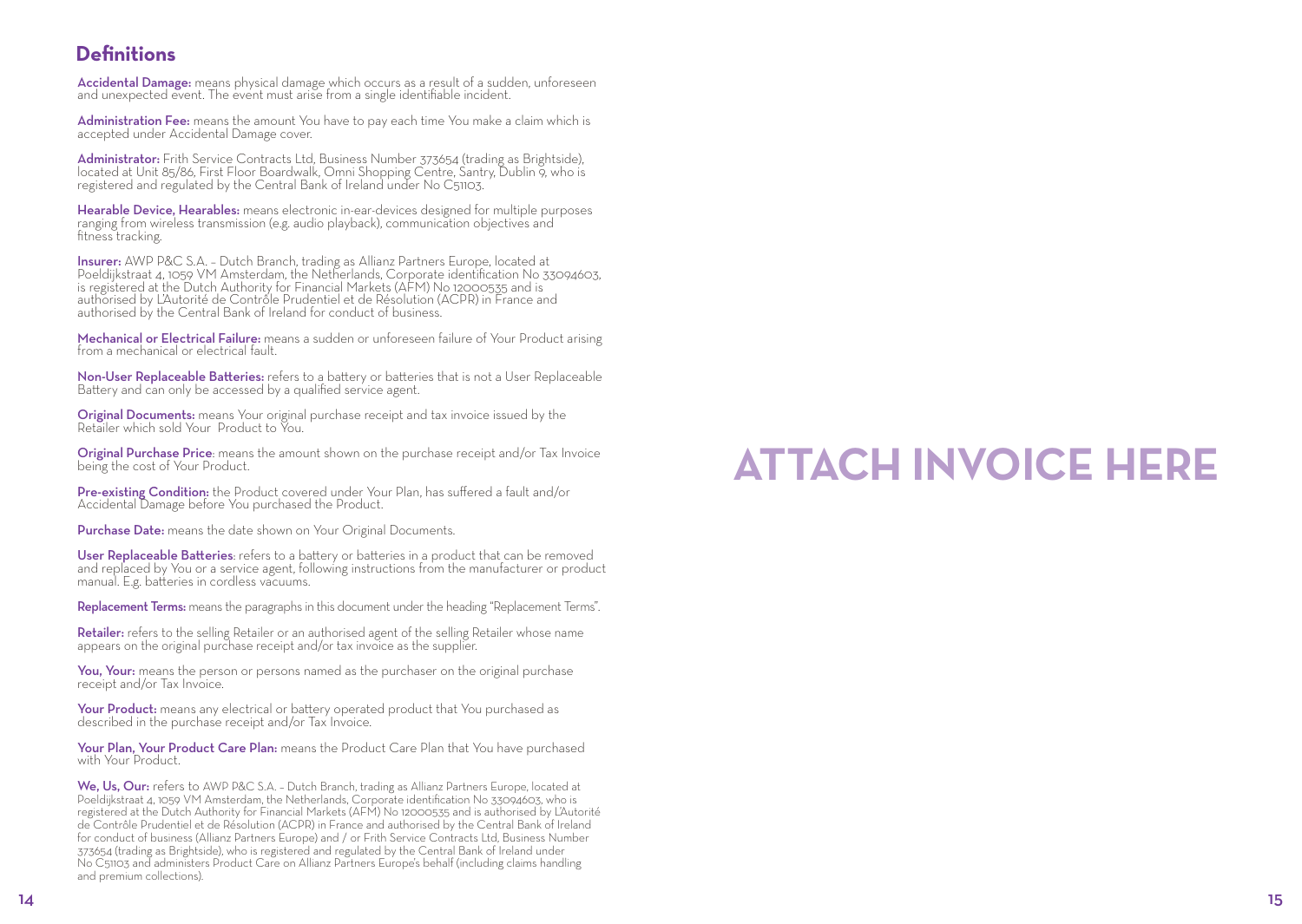#### **Definitions**

Accidental Damage: means physical damage which occurs as a result of a sudden, unforeseen and unexpected event. The event must arise from a single identifiable incident.

Administration Fee: means the amount You have to pay each time You make a claim which is accepted under Accidental Damage cover.

Administrator: Frith Service Contracts Ltd, Business Number 373654 (trading as Brightside), located at Unit 85/86, First Floor Boardwalk, Omni Shopping Centre, Santry, Dublin 9, who is registered and regulated by the Central Bank of Ireland under No C51103.

Hearable Device, Hearables: means electronic in-ear-devices designed for multiple purposes ranging from wireless transmission (e.g. audio playback), communication objectives and fitness tracking.

**Insurer:** AWP P&C S.A. – Dutch Branch, trading as Allianz Partners Europe, located at<br>Poeldijkstraat 4, 1059 VM Amsterdam, the Netherlands, Corporate identification No 33094603, is registered at the Dutch Authority for Financial Markets (AFM) No 12000535 and is authorised by L'Autorité de Contrôle Prudentiel et de Résolution (ACPR) in France and authorised by the Central Bank of Ireland for conduct of business.

Mechanical or Electrical Failure: means a sudden or unforeseen failure of Your Product arising<br>from a mechanical or electrical fault.

Non-User Replaceable Batteries: refers to a battery or batteries that is not a User Replaceable<br>Battery and can only be accessed by a qualified service agent.

Original Documents: means Your original purchase receipt and tax invoice issued by the Retailer which sold Your Product to You.

Original Purchase Price: means the amount shown on the purchase receipt and/or Tax Invoice being the cost of Your Product.

Pre-existing Condition: the Product covered under Your Plan, has suffered a fault and/or Accidental Damage before You purchased the Product.

Purchase Date: means the date shown on Your Original Documents.

User Replaceable Batteries: refers to a battery or batteries in a product that can be removed<br>and replaced by You or a service agent, following instructions from the manufacturer or product manual. E.g. batteries in cordless vacuums.

Replacement Terms: means the paragraphs in this document under the heading "Replacement Terms".

Retailer: refers to the selling Retailer or an authorised agent of the selling Retailer whose name appears on the original purchase receipt and/or tax invoice as the supplier.

You, Your: means the person or persons named as the purchaser on the original purchase receipt and/or Tax Invoice.

Your Product: means any electrical or battery operated product that You purchased as described in the purchase receipt and/or Tax Invoice.

Your Plan, Your Product Care Plan: means the Product Care Plan that You have purchased<br>with Your Product

We, Us, Our: refers to AWP P&C S.A. - Dutch Branch, trading as Allianz Partners Europe, located at Poeldijkstraat 4, 1059 VM Amsterdam, the Netherlands, Corporate identification No 33094603, who is registered at the Dutch Authority for Financial Markets (AFM) No 12000535 and is authorised by L'Autorité de Contrôle Prudentiel et de Résolution (ACPR) in France and authorised by the Central Bank of Ireland for conduct of business (Allianz Partners Europe) and / or Frith Service Contracts Ltd, Business Number 373654 (trading as Brightside), who is registered and regulated by the Central Bank of Ireland under No C51103 and administers Product Care on Allianz Partners Europe's behalf (including claims handling and premium collections).

## **ATTACH INVOICE HERE**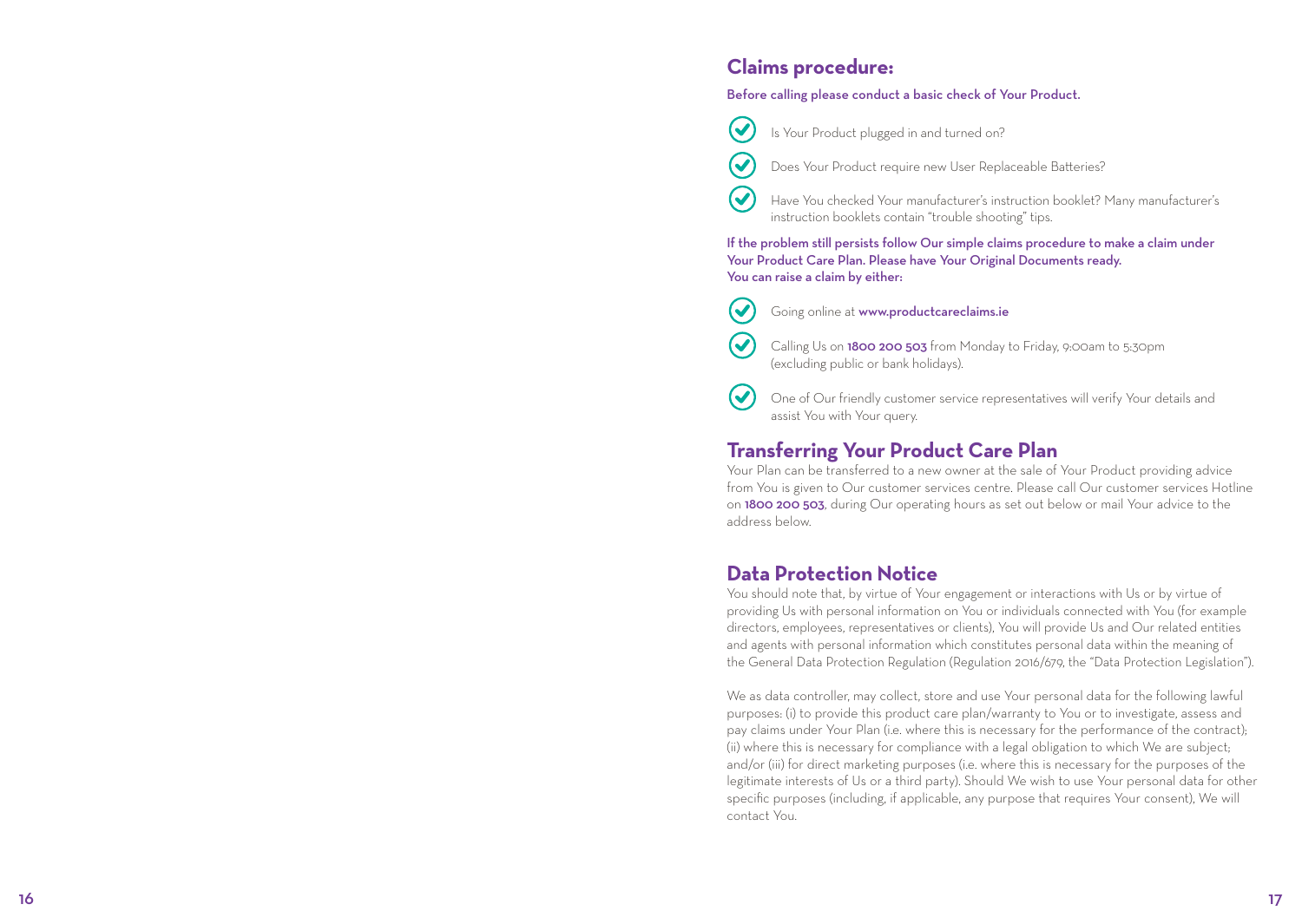#### **Claims procedure:**

#### Before calling please conduct a basic check of Your Product.

Is Your Product plugged in and turned on?



 $\bm{\mathcal{U}}$ 

 $\boldsymbol{\omega}$ 

 $\blacktriangledown$ 

 $\blacktriangledown$ 

 $\blacktriangledown$ 

Does Your Product require new User Replaceable Batteries?

Have You checked Your manufacturer's instruction booklet? Many manufacturer's instruction booklets contain "trouble shooting" tips.

If the problem still persists follow Our simple claims procedure to make a claim under Your Product Care Plan. Please have Your Original Documents ready. You can raise a claim by either:

- Going online at www.productcareclaims.ie
- Calling Us on 1800 200 503 from Monday to Friday, 9:00am to 5:30pm (excluding public or bank holidays).

One of Our friendly customer service representatives will verify Your details and assist You with Your query.

#### **Transferring Your Product Care Plan**

Your Plan can be transferred to a new owner at the sale of Your Product providing advice from You is given to Our customer services centre. Please call Our customer services Hotline on 1800 200 503, during Our operating hours as set out below or mail Your advice to the address below.

#### **Data Protection Notice**

You should note that, by virtue of Your engagement or interactions with Us or by virtue of providing Us with personal information on You or individuals connected with You (for example directors, employees, representatives or clients), You will provide Us and Our related entities and agents with personal information which constitutes personal data within the meaning of the General Data Protection Regulation (Regulation 2016/679, the "Data Protection Legislation").

We as data controller, may collect, store and use Your personal data for the following lawful purposes: (i) to provide this product care plan/warranty to You or to investigate, assess and pay claims under Your Plan (i.e. where this is necessary for the performance of the contract); (ii) where this is necessary for compliance with a legal obligation to which We are subject; and/or (iii) for direct marketing purposes (i.e. where this is necessary for the purposes of the legitimate interests of Us or a third party). Should We wish to use Your personal data for other specific purposes (including, if applicable, any purpose that requires Your consent), We will contact You.